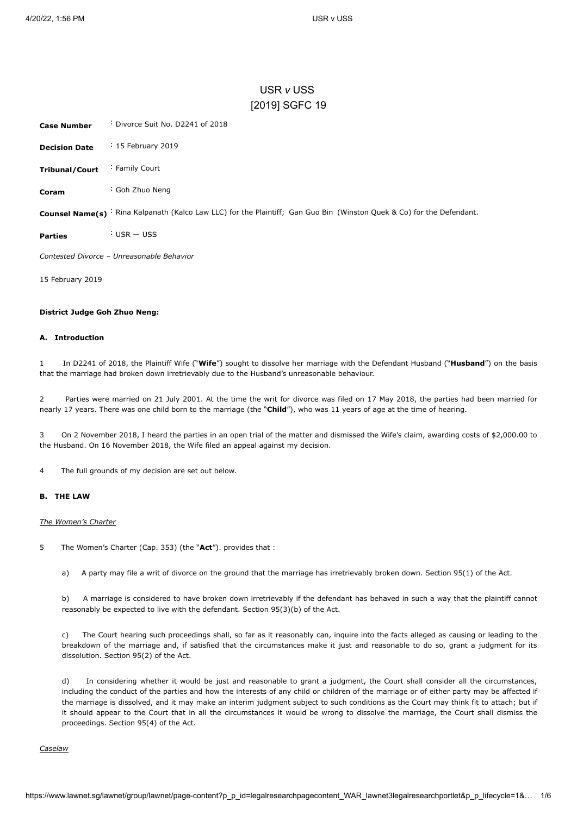# USR *v* USS [\[2019\] SGFC 19](javascript:viewPageContent()

<span id="page-0-0"></span>

| <b>Case Number</b>   | : Divorce Suit No. D2241 of 2018 |
|----------------------|----------------------------------|
| <b>Decision Date</b> | $\frac{1}{2}$ 15 February 2019   |
| Tribunal/Court       | : Family Court                   |
| Coram                | : Goh Zhuo Neng                  |

Counsel Name(s) <sup>:</sup> Rina Kalpanath (Kalco Law LLC) for the Plaintiff; Gan Guo Bin (Winston Quek & Co) for the Defendant.

**Parties** : USR — USS

*Contested Divorce* – *Unreasonable Behavior*

15 February 2019

### **District Judge Goh Zhuo Neng:**

# **A. Introduction**

1 In D2241 of 2018, the Plaintiff Wife ("**Wife**") sought to dissolve her marriage with the Defendant Husband ("**Husband**") on the basis that the marriage had broken down irretrievably due to the Husband's unreasonable behaviour.

2 Parties were married on 21 July 2001. At the time the writ for divorce was filed on 17 May 2018, the parties had been married for nearly 17 years. There was one child born to the marriage (the "**Child**"), who was 11 years of age at the time of hearing.

3 On 2 November 2018, I heard the parties in an open trial of the matter and dismissed the Wife's claim, awarding costs of \$2,000.00 to the Husband. On 16 November 2018, the Wife filed an appeal against my decision.

4 The full grounds of my decision are set out below.

# **B. THE LAW**

### *The Women's Charter*

5 The Women's Charter (Cap. 353) (the "**Act**"). provides that :

a) A party may file a writ of divorce on the ground that the marriage has irretrievably broken down. Section 95(1) of the Act.

b) A marriage is considered to have broken down irretrievably if the defendant has behaved in such a way that the plaintiff cannot reasonably be expected to live with the defendant. Section 95(3)(b) of the Act.

c) The Court hearing such proceedings shall, so far as it reasonably can, inquire into the facts alleged as causing or leading to the breakdown of the marriage and, if satisfied that the circumstances make it just and reasonable to do so, grant a judgment for its dissolution. Section 95(2) of the Act.

d) In considering whether it would be just and reasonable to grant a judgment, the Court shall consider all the circumstances, including the conduct of the parties and how the interests of any child or children of the marriage or of either party may be affected if the marriage is dissolved, and it may make an interim judgment subject to such conditions as the Court may think fit to attach; but if it should appear to the Court that in all the circumstances it would be wrong to dissolve the marriage, the Court shall dismiss the proceedings. Section 95(4) of the Act.

*Caselaw*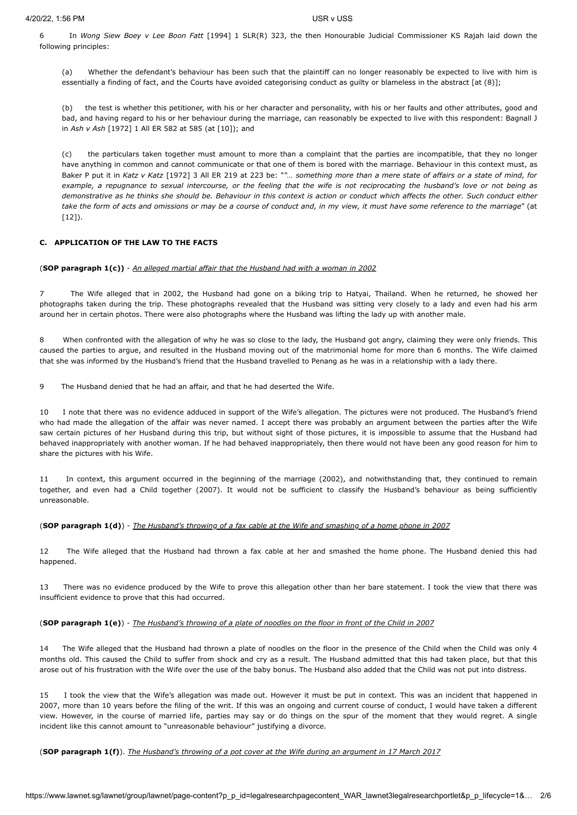6 In *Wong Siew Boey v Lee Boon Fatt* [\[1994\] 1 SLR\(R\) 323,](javascript:viewPageContent() the then Honourable Judicial Commissioner KS Rajah laid down the following principles:

(a) Whether the defendant's behaviour has been such that the plaintiff can no longer reasonably be expected to live with him is essentially a finding of fact, and the Courts have avoided categorising conduct as guilty or blameless in the abstract [at (8)];

(b) the test is whether this petitioner, with his or her character and personality, with his or her faults and other attributes, good and bad, and having regard to his or her behaviour during the marriage, can reasonably be expected to live with this respondent: Bagnall J in *Ash v Ash* [1972] 1 All ER 582 at 585 (at [10]); and

(c) the particulars taken together must amount to more than a complaint that the parties are incompatible, that they no longer have anything in common and cannot communicate or that one of them is bored with the marriage. Behaviour in this context must, as Baker P put it in *Katz v Katz* [1972] 3 All ER 219 at 223 be: "*"… something more than a mere state of affairs or a state of mind, for example, a repugnance to sexual intercourse, or the feeling that the wife is not reciprocating the husband's love or not being as demonstrative as he thinks she should be. Behaviour in this context is action or conduct which affects the other. Such conduct either take the form of acts and omissions or may be a course of conduct and, in my view, it must have some reference to the marriage*" (at [12]).

# **C. APPLICATION OF THE LAW TO THE FACTS**

### (**SOP paragraph 1(c))** - *An alleged martial affair that the Husband had with a woman in 2002*

7 The Wife alleged that in 2002, the Husband had gone on a biking trip to Hatyai, Thailand. When he returned, he showed her photographs taken during the trip. These photographs revealed that the Husband was sitting very closely to a lady and even had his arm around her in certain photos. There were also photographs where the Husband was lifting the lady up with another male.

8 When confronted with the allegation of why he was so close to the lady, the Husband got angry, claiming they were only friends. This caused the parties to argue, and resulted in the Husband moving out of the matrimonial home for more than 6 months. The Wife claimed that she was informed by the Husband's friend that the Husband travelled to Penang as he was in a relationship with a lady there.

9 The Husband denied that he had an affair, and that he had deserted the Wife.

10 I note that there was no evidence adduced in support of the Wife's allegation. The pictures were not produced. The Husband's friend who had made the allegation of the affair was never named. I accept there was probably an argument between the parties after the Wife saw certain pictures of her Husband during this trip, but without sight of those pictures, it is impossible to assume that the Husband had behaved inappropriately with another woman. If he had behaved inappropriately, then there would not have been any good reason for him to share the pictures with his Wife.

11 In context, this argument occurred in the beginning of the marriage (2002), and notwithstanding that, they continued to remain together, and even had a Child together (2007). It would not be sufficient to classify the Husband's behaviour as being sufficiently unreasonable.

### (**SOP paragraph 1(d)**) - *The Husband's throwing of a fax cable at the Wife and smashing of a home phone in 2007*

12 The Wife alleged that the Husband had thrown a fax cable at her and smashed the home phone. The Husband denied this had happened.

13 There was no evidence produced by the Wife to prove this allegation other than her bare statement. I took the view that there was insufficient evidence to prove that this had occurred.

### (**SOP paragraph 1(e)**) - *The Husband's throwing of a plate of noodles on the floor in front of the Child in 2007*

14 The Wife alleged that the Husband had thrown a plate of noodles on the floor in the presence of the Child when the Child was only 4 months old. This caused the Child to suffer from shock and cry as a result. The Husband admitted that this had taken place, but that this arose out of his frustration with the Wife over the use of the baby bonus. The Husband also added that the Child was not put into distress.

15 I took the view that the Wife's allegation was made out. However it must be put in context. This was an incident that happened in 2007, more than 10 years before the filing of the writ. If this was an ongoing and current course of conduct, I would have taken a different view. However, in the course of married life, parties may say or do things on the spur of the moment that they would regret. A single incident like this cannot amount to "unreasonable behaviour" justifying a divorce.

(**SOP paragraph 1(f)**). *The Husband's throwing of a pot cover at the Wife during an argument in 17 March 2017*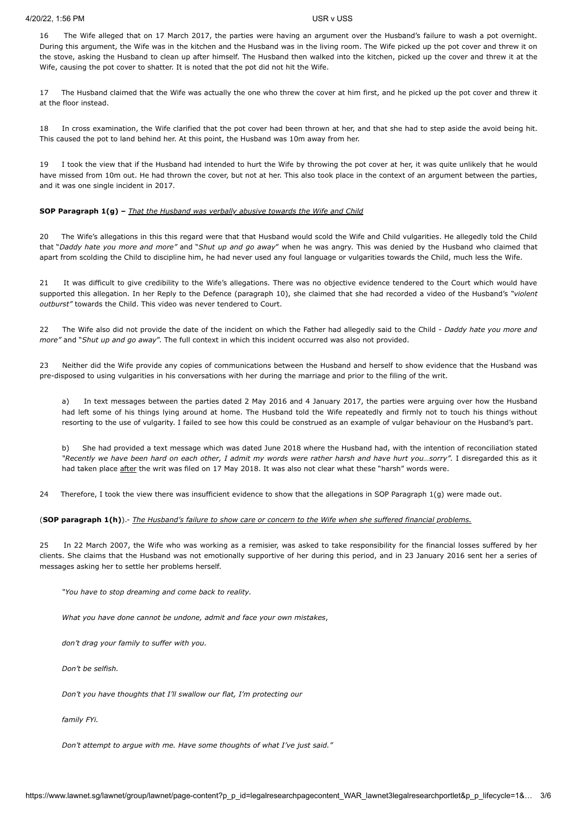16 The Wife alleged that on 17 March 2017, the parties were having an argument over the Husband's failure to wash a pot overnight. During this argument, the Wife was in the kitchen and the Husband was in the living room. The Wife picked up the pot cover and threw it on the stove, asking the Husband to clean up after himself. The Husband then walked into the kitchen, picked up the cover and threw it at the Wife, causing the pot cover to shatter. It is noted that the pot did not hit the Wife.

17 The Husband claimed that the Wife was actually the one who threw the cover at him first, and he picked up the pot cover and threw it at the floor instead.

18 In cross examination, the Wife clarified that the pot cover had been thrown at her, and that she had to step aside the avoid being hit. This caused the pot to land behind her. At this point, the Husband was 10m away from her.

19 I took the view that if the Husband had intended to hurt the Wife by throwing the pot cover at her, it was quite unlikely that he would have missed from 10m out. He had thrown the cover, but not at her. This also took place in the context of an argument between the parties, and it was one single incident in 2017.

### **SOP Paragraph 1(g) –** *That the Husband was verbally abusive towards the Wife and Child*

20 The Wife's allegations in this this regard were that that Husband would scold the Wife and Child vulgarities. He allegedly told the Child that "*Daddy hate you more and more"* and "*Shut up and go away*" when he was angry. This was denied by the Husband who claimed that apart from scolding the Child to discipline him, he had never used any foul language or vulgarities towards the Child, much less the Wife.

21 It was difficult to give credibility to the Wife's allegations. There was no objective evidence tendered to the Court which would have supported this allegation. In her Reply to the Defence (paragraph 10), she claimed that she had recorded a video of the Husband's *"violent outburst"* towards the Child. This video was never tendered to Court.

22 The Wife also did not provide the date of the incident on which the Father had allegedly said to the Child - *Daddy hate you more and more"* and "*Shut up and go away*". The full context in which this incident occurred was also not provided.

23 Neither did the Wife provide any copies of communications between the Husband and herself to show evidence that the Husband was pre-disposed to using vulgarities in his conversations with her during the marriage and prior to the filing of the writ.

a) In text messages between the parties dated 2 May 2016 and 4 January 2017, the parties were arguing over how the Husband had left some of his things lying around at home. The Husband told the Wife repeatedly and firmly not to touch his things without resorting to the use of vulgarity. I failed to see how this could be construed as an example of vulgar behaviour on the Husband's part.

b) She had provided a text message which was dated June 2018 where the Husband had, with the intention of reconciliation stated *"Recently we have been hard on each other, I admit my words were rather harsh and have hurt you…sorry".* I disregarded this as it had taken place after the writ was filed on 17 May 2018. It was also not clear what these "harsh" words were.

24 Therefore, I took the view there was insufficient evidence to show that the allegations in SOP Paragraph 1(g) were made out.

### (**SOP paragraph 1(h)**).- *The Husband's failure to show care or concern to the Wife when she suffered financial problems.*

25 In 22 March 2007, the Wife who was working as a remisier, was asked to take responsibility for the financial losses suffered by her clients. She claims that the Husband was not emotionally supportive of her during this period, and in 23 January 2016 sent her a series of messages asking her to settle her problems herself.

*"You have to stop dreaming and come back to reality.*

*What you have done cannot be undone, admit and face your own mistakes*,

*don't drag your family to suffer with you.*

*Don't be selfish.*

*Don't you have thoughts that I'll swallow our flat, I'm protecting our*

*family FYi.*

*Don't attempt to argue with me. Have some thoughts of what I've just said."*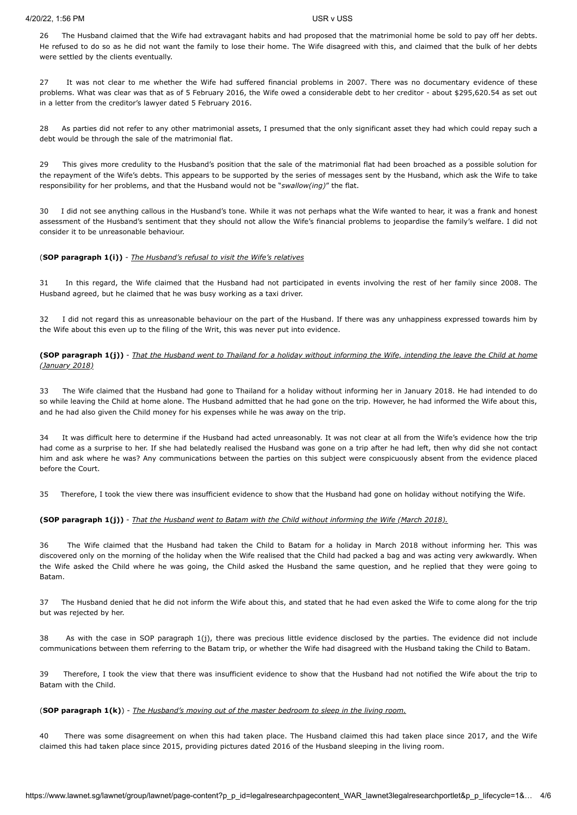### 4/20/22, 1:56 PM USR v USS

26 The Husband claimed that the Wife had extravagant habits and had proposed that the matrimonial home be sold to pay off her debts. He refused to do so as he did not want the family to lose their home. The Wife disagreed with this, and claimed that the bulk of her debts were settled by the clients eventually.

27 It was not clear to me whether the Wife had suffered financial problems in 2007. There was no documentary evidence of these problems. What was clear was that as of 5 February 2016, the Wife owed a considerable debt to her creditor - about \$295,620.54 as set out in a letter from the creditor's lawyer dated 5 February 2016.

28 As parties did not refer to any other matrimonial assets, I presumed that the only significant asset they had which could repay such a debt would be through the sale of the matrimonial flat.

29 This gives more credulity to the Husband's position that the sale of the matrimonial flat had been broached as a possible solution for the repayment of the Wife's debts. This appears to be supported by the series of messages sent by the Husband, which ask the Wife to take responsibility for her problems, and that the Husband would not be "*swallow(ing)*" the flat.

30 I did not see anything callous in the Husband's tone. While it was not perhaps what the Wife wanted to hear, it was a frank and honest assessment of the Husband's sentiment that they should not allow the Wife's financial problems to jeopardise the family's welfare. I did not consider it to be unreasonable behaviour.

# (**SOP paragraph 1(i))** - *The Husband's refusal to visit the Wife's relatives*

31 In this regard, the Wife claimed that the Husband had not participated in events involving the rest of her family since 2008. The Husband agreed, but he claimed that he was busy working as a taxi driver.

32 I did not regard this as unreasonable behaviour on the part of the Husband. If there was any unhappiness expressed towards him by the Wife about this even up to the filing of the Writ, this was never put into evidence.

**(SOP paragraph 1(j))** - *That the Husband went to Thailand for a holiday without informing the Wife, intending the leave the Child at home (January 2018)*

33 The Wife claimed that the Husband had gone to Thailand for a holiday without informing her in January 2018. He had intended to do so while leaving the Child at home alone. The Husband admitted that he had gone on the trip. However, he had informed the Wife about this, and he had also given the Child money for his expenses while he was away on the trip.

34 It was difficult here to determine if the Husband had acted unreasonably. It was not clear at all from the Wife's evidence how the trip had come as a surprise to her. If she had belatedly realised the Husband was gone on a trip after he had left, then why did she not contact him and ask where he was? Any communications between the parties on this subject were conspicuously absent from the evidence placed before the Court.

35 Therefore, I took the view there was insufficient evidence to show that the Husband had gone on holiday without notifying the Wife.

# **(SOP paragraph 1(j))** - *That the Husband went to Batam with the Child without informing the Wife (March 2018).*

36 The Wife claimed that the Husband had taken the Child to Batam for a holiday in March 2018 without informing her. This was discovered only on the morning of the holiday when the Wife realised that the Child had packed a bag and was acting very awkwardly. When the Wife asked the Child where he was going, the Child asked the Husband the same question, and he replied that they were going to Batam.

37 The Husband denied that he did not inform the Wife about this, and stated that he had even asked the Wife to come along for the trip but was rejected by her.

38 As with the case in SOP paragraph 1(j), there was precious little evidence disclosed by the parties. The evidence did not include communications between them referring to the Batam trip, or whether the Wife had disagreed with the Husband taking the Child to Batam.

39 Therefore, I took the view that there was insufficient evidence to show that the Husband had not notified the Wife about the trip to Batam with the Child.

### (**SOP paragraph 1(k)**) - *The Husband's moving out of the master bedroom to sleep in the living room.*

40 There was some disagreement on when this had taken place. The Husband claimed this had taken place since 2017, and the Wife claimed this had taken place since 2015, providing pictures dated 2016 of the Husband sleeping in the living room.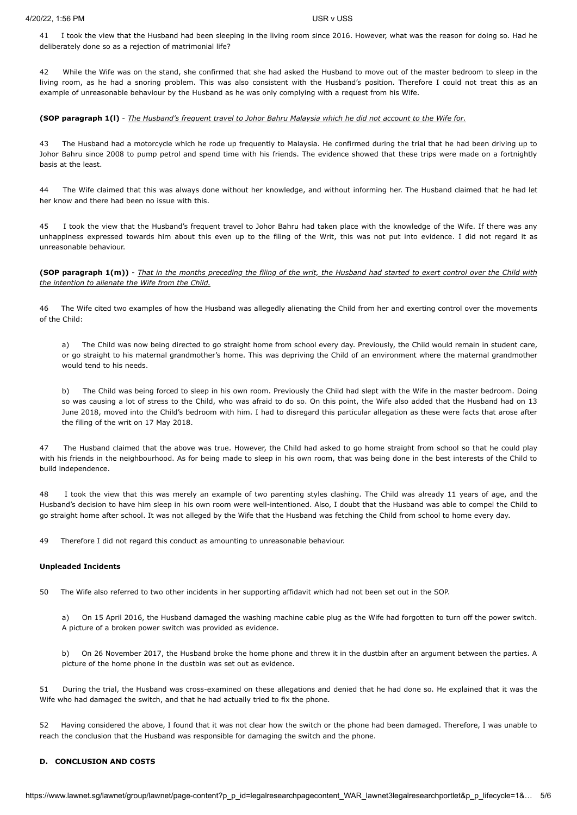41 I took the view that the Husband had been sleeping in the living room since 2016. However, what was the reason for doing so. Had he deliberately done so as a rejection of matrimonial life?

42 While the Wife was on the stand, she confirmed that she had asked the Husband to move out of the master bedroom to sleep in the living room, as he had a snoring problem. This was also consistent with the Husband's position. Therefore I could not treat this as an example of unreasonable behaviour by the Husband as he was only complying with a request from his Wife.

### **(SOP paragraph 1(l)** - *The Husband's frequent travel to Johor Bahru Malaysia which he did not account to the Wife for.*

43 The Husband had a motorcycle which he rode up frequently to Malaysia. He confirmed during the trial that he had been driving up to Johor Bahru since 2008 to pump petrol and spend time with his friends. The evidence showed that these trips were made on a fortnightly basis at the least.

44 The Wife claimed that this was always done without her knowledge, and without informing her. The Husband claimed that he had let her know and there had been no issue with this.

45 I took the view that the Husband's frequent travel to Johor Bahru had taken place with the knowledge of the Wife. If there was any unhappiness expressed towards him about this even up to the filing of the Writ, this was not put into evidence. I did not regard it as unreasonable behaviour.

### **(SOP paragraph 1(m))** - *That in the months preceding the filing of the writ, the Husband had started to exert control over the Child with the intention to alienate the Wife from the Child.*

46 The Wife cited two examples of how the Husband was allegedly alienating the Child from her and exerting control over the movements of the Child:

a) The Child was now being directed to go straight home from school every day. Previously, the Child would remain in student care, or go straight to his maternal grandmother's home. This was depriving the Child of an environment where the maternal grandmother would tend to his needs.

b) The Child was being forced to sleep in his own room. Previously the Child had slept with the Wife in the master bedroom. Doing so was causing a lot of stress to the Child, who was afraid to do so. On this point, the Wife also added that the Husband had on 13 June 2018, moved into the Child's bedroom with him. I had to disregard this particular allegation as these were facts that arose after the filing of the writ on 17 May 2018.

47 The Husband claimed that the above was true. However, the Child had asked to go home straight from school so that he could play with his friends in the neighbourhood. As for being made to sleep in his own room, that was being done in the best interests of the Child to build independence.

I took the view that this was merely an example of two parenting styles clashing. The Child was already 11 years of age, and the Husband's decision to have him sleep in his own room were well-intentioned. Also, I doubt that the Husband was able to compel the Child to go straight home after school. It was not alleged by the Wife that the Husband was fetching the Child from school to home every day.

49 Therefore I did not regard this conduct as amounting to unreasonable behaviour.

### **Unpleaded Incidents**

50 The Wife also referred to two other incidents in her supporting affidavit which had not been set out in the SOP.

a) On 15 April 2016, the Husband damaged the washing machine cable plug as the Wife had forgotten to turn off the power switch. A picture of a broken power switch was provided as evidence.

b) On 26 November 2017, the Husband broke the home phone and threw it in the dustbin after an argument between the parties. A picture of the home phone in the dustbin was set out as evidence.

51 During the trial, the Husband was cross-examined on these allegations and denied that he had done so. He explained that it was the Wife who had damaged the switch, and that he had actually tried to fix the phone.

52 Having considered the above, I found that it was not clear how the switch or the phone had been damaged. Therefore, I was unable to reach the conclusion that the Husband was responsible for damaging the switch and the phone.

### **D. CONCLUSION AND COSTS**